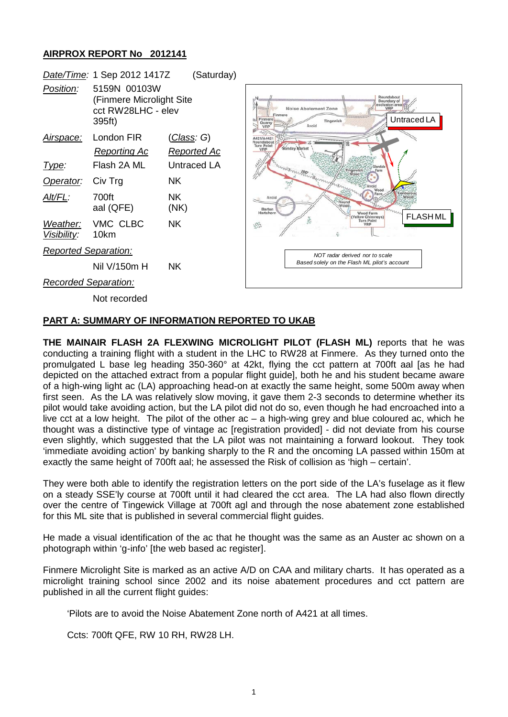## **AIRPROX REPORT No 2012141**



## **PART A: SUMMARY OF INFORMATION REPORTED TO UKAB**

**THE MAINAIR FLASH 2A FLEXWING MICROLIGHT PILOT (FLASH ML)** reports that he was conducting a training flight with a student in the LHC to RW28 at Finmere. As they turned onto the promulgated L base leg heading 350-360° at 42kt, flying the cct pattern at 700ft aal [as he had depicted on the attached extract from a popular flight guide], both he and his student became aware of a high-wing light ac (LA) approaching head-on at exactly the same height, some 500m away when first seen. As the LA was relatively slow moving, it gave them 2-3 seconds to determine whether its pilot would take avoiding action, but the LA pilot did not do so, even though he had encroached into a live cct at a low height. The pilot of the other ac – a high-wing grey and blue coloured ac, which he thought was a distinctive type of vintage ac [registration provided] - did not deviate from his course even slightly, which suggested that the LA pilot was not maintaining a forward lookout. They took 'immediate avoiding action' by banking sharply to the R and the oncoming LA passed within 150m at exactly the same height of 700ft aal; he assessed the Risk of collision as 'high – certain'.

They were both able to identify the registration letters on the port side of the LA's fuselage as it flew on a steady SSE'ly course at 700ft until it had cleared the cct area. The LA had also flown directly over the centre of Tingewick Village at 700ft agl and through the nose abatement zone established for this ML site that is published in several commercial flight guides.

He made a visual identification of the ac that he thought was the same as an Auster ac shown on a photograph within 'g-info' [the web based ac register].

Finmere Microlight Site is marked as an active A/D on CAA and military charts. It has operated as a microlight training school since 2002 and its noise abatement procedures and cct pattern are published in all the current flight guides:

'Pilots are to avoid the Noise Abatement Zone north of A421 at all times.

Ccts: 700ft QFE, RW 10 RH, RW28 LH.